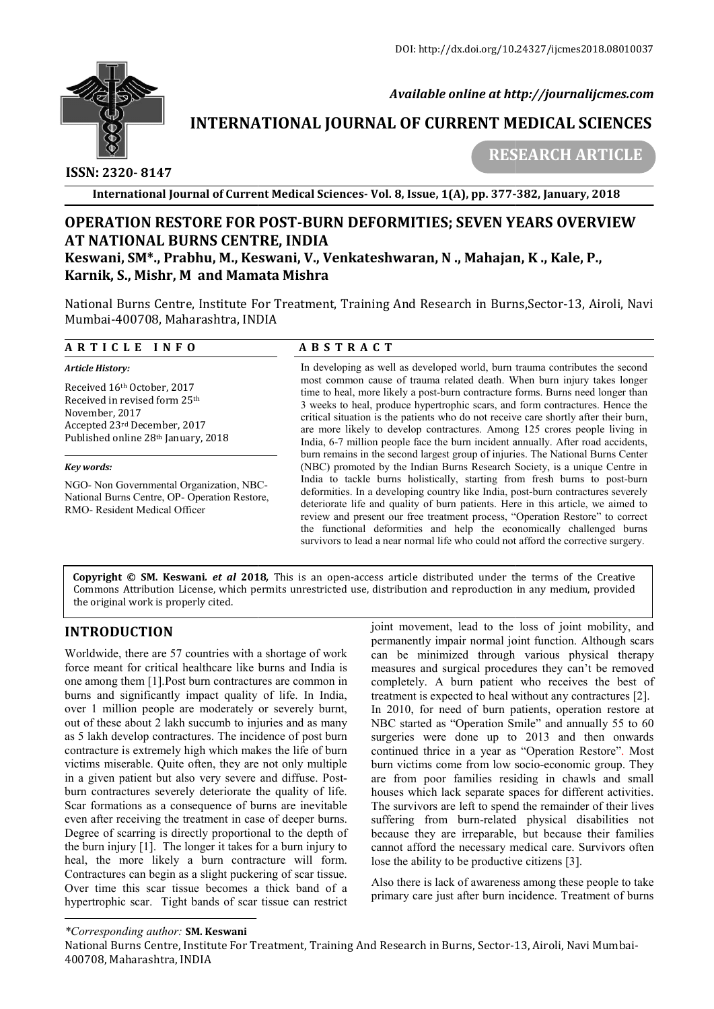

 *Available online at http://journalijcmes.com*

# **INTERNATIONAL JOURNAL OF CURRENT MEDICAL SCIENCES SCIENCES**

 **ISSN: 2320- 8147**

 **RESEARCH ARTICLE**

**International Journal of Current Medical Sciences Sciences- Vol. 8, Issue, 1(A), pp. 377- -382, January, 2018**

# **OPERATION RESTORE FOR POST POST-BURN DEFORMITIES; SEVEN YEARS OVERVIEW BURN DEFORMITIES; SEVEN AT NATIONAL BURNS CENTRE, INDIA Keswani, SM\*., Prabhu, M., Keswani ., Keswani, V., Venkateshwaran, N ., Mahajan Mahajan, K ., Kale, P., Karnik, S., Mishr, M and Mamata Mishra**

National Burns Centre, Institute For Treatment, Training And Research in Burns, Sector-13, Airoli, Navi Mumbai-400708, Maharashtra, INDIA

#### **A R T I C L E I N F O**

### **A B S T R A C T**

| <b>Article History:</b>                                                                                                                                           | In developing as well as developed world, burn trauma contributes the second                                                                                                                                                                                                                                                                                                                                                                                                                                                                                                              |
|-------------------------------------------------------------------------------------------------------------------------------------------------------------------|-------------------------------------------------------------------------------------------------------------------------------------------------------------------------------------------------------------------------------------------------------------------------------------------------------------------------------------------------------------------------------------------------------------------------------------------------------------------------------------------------------------------------------------------------------------------------------------------|
| Received 16th October, 2017<br>Received in revised form 25 <sup>th</sup><br>November, 2017<br>Accepted 23rd December, 2017<br>Published online 28th January, 2018 | most common cause of trauma related death. When burn injury takes longer<br>time to heal, more likely a post-burn contracture forms. Burns need longer than<br>3 weeks to heal, produce hypertrophic scars, and form contractures. Hence the<br>critical situation is the patients who do not receive care shortly after their burn,<br>are more likely to develop contractures. Among 125 crores people living in<br>India, 6-7 million people face the burn incident annually. After road accidents,<br>burn remains in the second largest group of injuries. The National Burns Center |
| Kev words:                                                                                                                                                        | (NBC) promoted by the Indian Burns Research Society, is a unique Centre in                                                                                                                                                                                                                                                                                                                                                                                                                                                                                                                |
| NGO- Non Governmental Organization, NBC-<br>National Burns Centre, OP-Operation Restore,<br>RMO-Resident Medical Officer                                          | India to tackle burns holistically, starting from fresh burns to post-burn<br>deformities. In a developing country like India, post-burn contractures severely<br>deteriorate life and quality of burn patients. Here in this article, we aimed to<br>review and present our free treatment process, "Operation Restore" to correct<br>the functional deformities and help the economically challenged burns<br>survivors to lead a near normal life who could not afford the corrective surgery.                                                                                         |

**Copyright © SM. Keswani***. et al* **201 2018***,* This is an open-access article distributed under the terms of the Creative **Copyright © SM. Keswani***. et al* **2018,** This is an open-access article distributed under the terms of the Creative<br>Commons Attribution License, which permits unrestricted use, distribution and reproduction in any medium, the original work is properly cited.

# **INTRODUCTION**

Worldwide, there are 57 countries with a shortage of work force meant for critical healthcare like burns and India is one among them [1].Post burn contractures are common in one among them [1]. Post burn contractures are common in burns and significantly impact quality of life. In India, over 1 million people are moderately or severely burnt, out of these about 2 lakh succumb to injuries and as many as 5 lakh develop contractures. The incidence of post burn contracture is extremely high which makes the life of burn victims miserable. Quite often, they are not only multiple in a given patient but also very severe and diffuse. Post Postburn contractures severely deteriorate the quality of life. Scar formations as a consequence of burns are inevitable even after receiving the treatment in case of deeper burns. Degree of scarring is directly proportional to the depth of the burn injury  $[1]$ . The longer it takes for a burn injury to heal, the more likely a burn contracture will form. Contractures can begin as a slight puckering of scar tissue. Over time this scar tissue becomes a thick band of a hypertrophic scar. Tight bands of scar tissue can restrict eriorate the quality of life.<br>
ence of burns are inevitable<br>
ent in case of deeper burns.<br>
proportional to the depth of<br>
it takes for a burn injury to joint movement, lead to the loss of joint mobility, and permanently impair normal joint function. Although scars can be minimized through various physical therapy measures and surgical procedures they can't be removed completely. A burn patient who receives the best of treatment is expected to heal without any contractures [2]. In 2010, for need of burn patients, operation restore at NBC started as "Operation Smile" and annually 55 to 60 surgeries were done up to 2013 and then onwards continued thrice in a year as "Operation Restore". Most burn victims come from low socio-economic group. They are from poor families residing in chawls and small houses which lack separate spaces for different activities. The survivors are left to spend the remainder of their lives suffering from burn-related physical disabilities not because they are irreparable, but because their families cannot afford the necessary medical care. Survivors often lose the ability to be productive citizens [3]. to the loss of joint mobility, and<br>ormal joint function. Although scars<br>through various physical therapy<br>procedures they can't be removed<br>patient who receives the best of treatment is expected to heal without any contractures [2].<br>In 2010, for need of burn patients, operation restore at<br>NBC started as "Operation Smile" and annually 55 to 60<br>surgeries were done up to 2013 and then onwards<br>co poor families residing in chawls and small<br>ich lack separate spaces for different activities.<br>ors are left to spend the remainder of their lives related physical disabilities not<br>extra they are irreparable, but because their families<br>afford the necessary medical care. Survivors often<br>exability to be productive citizens [3].<br>ere is lack of awareness among these peop

Also there is lack of awareness among these people to take primary care just after burn incidence. Treatment of burns

#### *\*Corresponding author:* **SM. Keswani**

National Burns Centre, Institute For Treatment, Training And Research in Burns, Sector-13, Airoli, Navi Mumbai 13, Airoli, Navi Mumbai-400708, Maharashtra, INDIA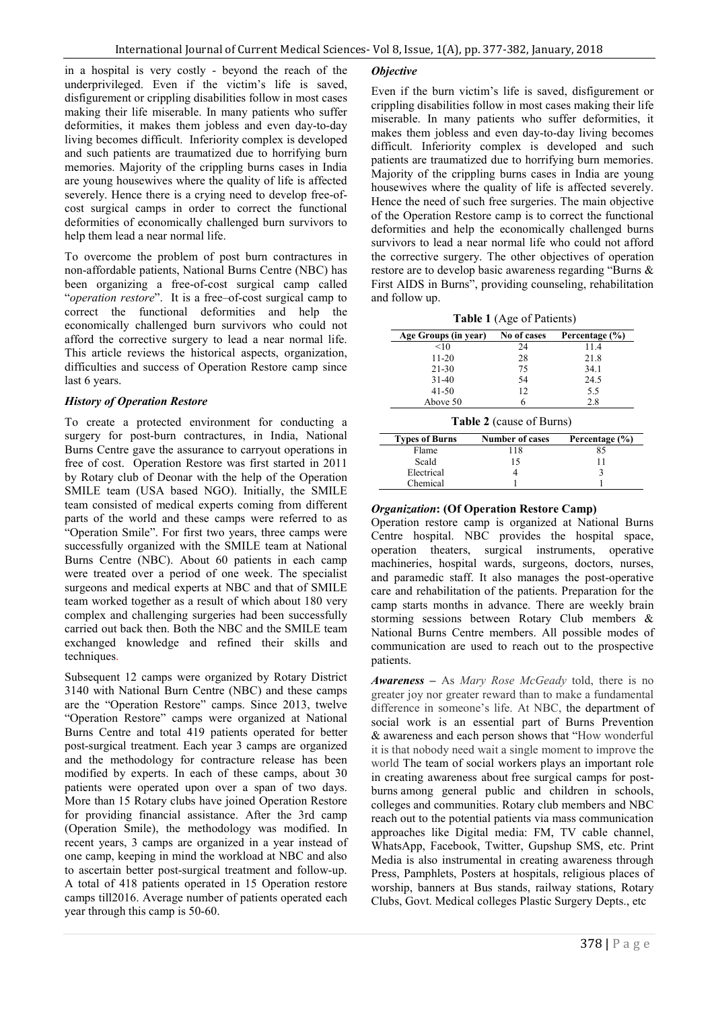in a hospital is very costly - beyond the reach of the underprivileged. Even if the victim's life is saved, disfigurement or crippling disabilities follow in most cases making their life miserable. In many patients who suffer deformities, it makes them jobless and even day-to-day living becomes difficult. Inferiority complex is developed and such patients are traumatized due to horrifying burn memories. Majority of the crippling burns cases in India are young housewives where the quality of life is affected severely. Hence there is a crying need to develop free-ofcost surgical camps in order to correct the functional deformities of economically challenged burn survivors to help them lead a near normal life.

To overcome the problem of post burn contractures in non-affordable patients, National Burns Centre (NBC) has been organizing a free-of-cost surgical camp called "*operation restore*". It is a free–of-cost surgical camp to correct the functional deformities and help the economically challenged burn survivors who could not afford the corrective surgery to lead a near normal life. This article reviews the historical aspects, organization, difficulties and success of Operation Restore camp since last 6 years.

#### *History of Operation Restore*

To create a protected environment for conducting a surgery for post-burn contractures, in India, National Burns Centre gave the assurance to carryout operations in free of cost. Operation Restore was first started in 2011 by Rotary club of Deonar with the help of the Operation SMILE team (USA based NGO). Initially, the SMILE team consisted of medical experts coming from different parts of the world and these camps were referred to as "Operation Smile". For first two years, three camps were successfully organized with the SMILE team at National Burns Centre (NBC). About 60 patients in each camp were treated over a period of one week. The specialist surgeons and medical experts at NBC and that of SMILE team worked together as a result of which about 180 very complex and challenging surgeries had been successfully carried out back then. Both the NBC and the SMILE team exchanged knowledge and refined their skills and techniques.

Subsequent 12 camps were organized by Rotary District 3140 with National Burn Centre (NBC) and these camps are the "Operation Restore" camps. Since 2013, twelve "Operation Restore" camps were organized at National Burns Centre and total 419 patients operated for better post-surgical treatment. Each year 3 camps are organized and the methodology for contracture release has been modified by experts. In each of these camps, about 30 patients were operated upon over a span of two days. More than 15 Rotary clubs have joined Operation Restore for providing financial assistance. After the 3rd camp (Operation Smile), the methodology was modified. In recent years, 3 camps are organized in a year instead of one camp, keeping in mind the workload at NBC and also to ascertain better post-surgical treatment and follow-up. A total of 418 patients operated in 15 Operation restore camps till2016. Average number of patients operated each year through this camp is 50-60.

#### *Objective*

Even if the burn victim's life is saved, disfigurement or crippling disabilities follow in most cases making their life miserable. In many patients who suffer deformities, it makes them jobless and even day-to-day living becomes difficult. Inferiority complex is developed and such patients are traumatized due to horrifying burn memories. Majority of the crippling burns cases in India are young housewives where the quality of life is affected severely. Hence the need of such free surgeries. The main objective of the Operation Restore camp is to correct the functional deformities and help the economically challenged burns survivors to lead a near normal life who could not afford the corrective surgery. The other objectives of operation restore are to develop basic awareness regarding "Burns & First AIDS in Burns", providing counseling, rehabilitation and follow up.

**Table 1** (Age of Patients)

| Age Groups (in year) | No of cases | Percentage (%) |
|----------------------|-------------|----------------|
| <10                  | 24          | 11.4           |
| $11 - 20$            | 28          | 21.8           |
| $21 - 30$            | 75          | 34.1           |
| $31-40$              | 54          | 24.5           |
| $41 - 50$            | 12          | 5.5            |
| Above 50             |             | 28             |

**Table 2** (cause of Burns)

| <b>Types of Burns</b> | <b>Number of cases</b> | Percentage (%) |
|-----------------------|------------------------|----------------|
| Flame                 | 118                    | 85             |
| Scald                 | 15                     |                |
| Electrical            |                        |                |
| Chemical              |                        |                |

#### *Organization***: (Of Operation Restore Camp)**

Operation restore camp is organized at National Burns Centre hospital. NBC provides the hospital space, operation theaters, surgical instruments, operative machineries, hospital wards, surgeons, doctors, nurses, and paramedic staff. It also manages the post-operative care and rehabilitation of the patients. Preparation for the camp starts months in advance. There are weekly brain storming sessions between Rotary Club members & National Burns Centre members. All possible modes of communication are used to reach out to the prospective patients.

*Awareness* **–** As *Mary Rose McGeady* told, there is no greater joy nor greater reward than to make a fundamental difference in someone's life. At NBC, the department of social work is an essential part of Burns Prevention & awareness and each person shows that "How wonderful it is that nobody need wait a single moment to improve the world The team of social workers plays an important role in creating awareness about free surgical camps for postburns among general public and children in schools, colleges and communities. Rotary club members and NBC reach out to the potential patients via mass communication approaches like Digital media: FM, TV cable channel, WhatsApp, Facebook, Twitter, Gupshup SMS, etc. Print Media is also instrumental in creating awareness through Press, Pamphlets, Posters at hospitals, religious places of worship, banners at Bus stands, railway stations, Rotary Clubs, Govt. Medical colleges Plastic Surgery Depts., etc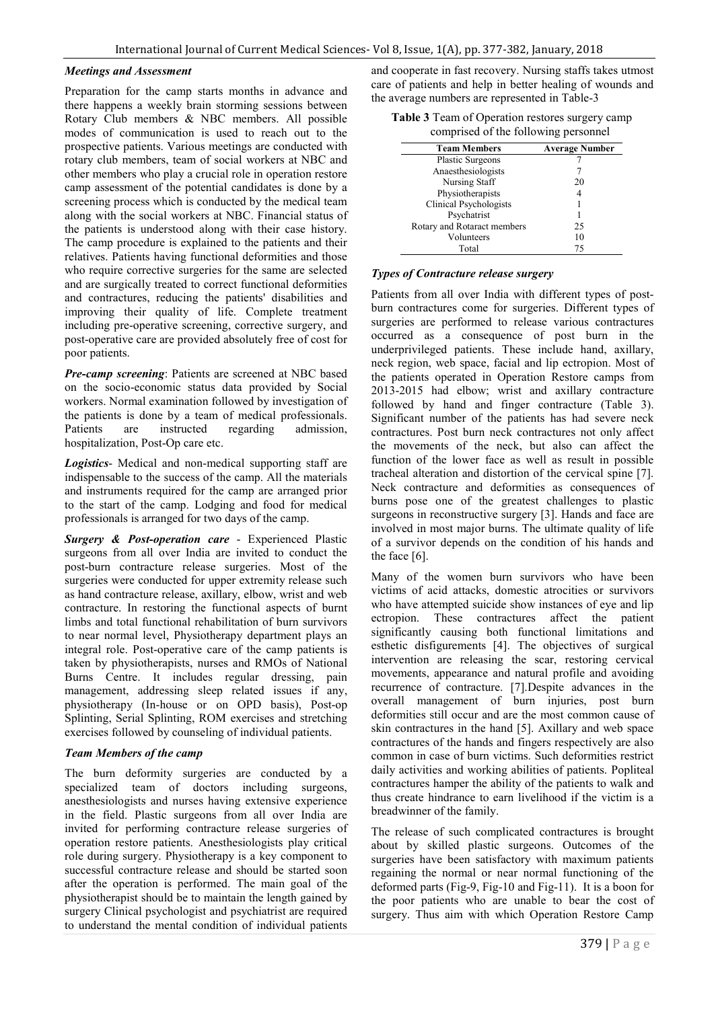#### *Meetings and Assessment*

Preparation for the camp starts months in advance and there happens a weekly brain storming sessions between Rotary Club members & NBC members. All possible modes of communication is used to reach out to the prospective patients. Various meetings are conducted with rotary club members, team of social workers at NBC and other members who play a crucial role in operation restore camp assessment of the potential candidates is done by a screening process which is conducted by the medical team along with the social workers at NBC. Financial status of the patients is understood along with their case history. The camp procedure is explained to the patients and their relatives. Patients having functional deformities and those who require corrective surgeries for the same are selected and are surgically treated to correct functional deformities and contractures, reducing the patients' disabilities and improving their quality of life. Complete treatment including pre-operative screening, corrective surgery, and post-operative care are provided absolutely free of cost for poor patients.

*Pre-camp screening*: Patients are screened at NBC based on the socio-economic status data provided by Social workers. Normal examination followed by investigation of the patients is done by a team of medical professionals. Patients are instructed regarding admission, hospitalization, Post-Op care etc.

*Logistics*- Medical and non-medical supporting staff are indispensable to the success of the camp. All the materials and instruments required for the camp are arranged prior to the start of the camp. Lodging and food for medical professionals is arranged for two days of the camp.

*Surgery & Post-operation care* - Experienced Plastic surgeons from all over India are invited to conduct the post-burn contracture release surgeries. Most of the surgeries were conducted for upper extremity release such as hand contracture release, axillary, elbow, wrist and web contracture. In restoring the functional aspects of burnt limbs and total functional rehabilitation of burn survivors to near normal level, Physiotherapy department plays an integral role. Post-operative care of the camp patients is taken by physiotherapists, nurses and RMOs of National Burns Centre. It includes regular dressing, pain management, addressing sleep related issues if any, physiotherapy (In-house or on OPD basis), Post-op Splinting, Serial Splinting, ROM exercises and stretching exercises followed by counseling of individual patients.

#### *Team Members of the camp*

The burn deformity surgeries are conducted by a specialized team of doctors including surgeons, anesthesiologists and nurses having extensive experience in the field. Plastic surgeons from all over India are invited for performing contracture release surgeries of operation restore patients. Anesthesiologists play critical role during surgery. Physiotherapy is a key component to successful contracture release and should be started soon after the operation is performed. The main goal of the physiotherapist should be to maintain the length gained by surgery Clinical psychologist and psychiatrist are required to understand the mental condition of individual patients

and cooperate in fast recovery. Nursing staffs takes utmost care of patients and help in better healing of wounds and the average numbers are represented in Table-3

| <b>Table 3</b> Team of Operation restores surgery camp |  |
|--------------------------------------------------------|--|
| comprised of the following personnel                   |  |

|                             | ິ                     |
|-----------------------------|-----------------------|
| <b>Team Members</b>         | <b>Average Number</b> |
| <b>Plastic Surgeons</b>     |                       |
| Anaesthesiologists          |                       |
| Nursing Staff               | 20                    |
| Physiotherapists            |                       |
| Clinical Psychologists      |                       |
| Psychatrist                 |                       |
| Rotary and Rotaract members | 25                    |
| Volunteers                  | 10                    |
| Total                       | 75                    |
|                             |                       |

#### *Types of Contracture release surgery*

Patients from all over India with different types of postburn contractures come for surgeries. Different types of surgeries are performed to release various contractures occurred as a consequence of post burn in the underprivileged patients. These include hand, axillary, neck region, web space, facial and lip ectropion. Most of the patients operated in Operation Restore camps from 2013-2015 had elbow; wrist and axillary contracture followed by hand and finger contracture (Table 3). Significant number of the patients has had severe neck contractures. Post burn neck contractures not only affect the movements of the neck, but also can affect the function of the lower face as well as result in possible tracheal alteration and distortion of the cervical spine [7]. Neck contracture and deformities as consequences of burns pose one of the greatest challenges to plastic surgeons in reconstructive surgery [3]. Hands and face are involved in most major burns. The ultimate quality of life of a survivor depends on the condition of his hands and the face [6].

Many of the women burn survivors who have been victims of acid attacks, domestic atrocities or survivors who have attempted suicide show instances of eye and lip ectropion. These contractures affect the patient significantly causing both functional limitations and esthetic disfigurements [4]. The objectives of surgical intervention are releasing the scar, restoring cervical movements, appearance and natural profile and avoiding recurrence of contracture. [7].Despite advances in the overall management of burn injuries, post burn deformities still occur and are the most common cause of skin contractures in the hand [5]. Axillary and web space contractures of the hands and fingers respectively are also common in case of burn victims. Such deformities restrict daily activities and working abilities of patients. Popliteal contractures hamper the ability of the patients to walk and thus create hindrance to earn livelihood if the victim is a breadwinner of the family.

The release of such complicated contractures is brought about by skilled plastic surgeons. Outcomes of the surgeries have been satisfactory with maximum patients regaining the normal or near normal functioning of the deformed parts (Fig-9, Fig-10 and Fig-11). It is a boon for the poor patients who are unable to bear the cost of surgery. Thus aim with which Operation Restore Camp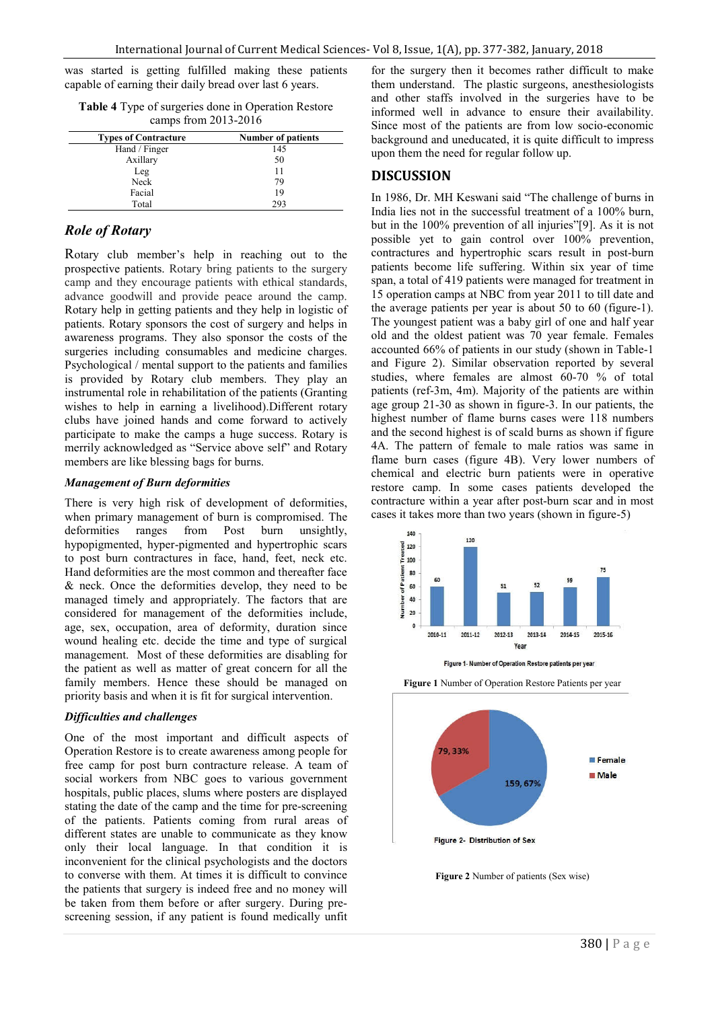was started is getting fulfilled making these patients capable of earning their daily bread over last 6 years.

**Table 4** Type of surgeries done in Operation Restore camps from 2013-2016

| <b>Types of Contracture</b> | <b>Number of patients</b> |
|-----------------------------|---------------------------|
| Hand / Finger               | 145                       |
| Axillary                    | 50                        |
| Leg                         | 11                        |
| Neck                        | 79                        |
| Facial                      | 19                        |
| Total                       | 293                       |

### *Role of Rotary*

Rotary club member's help in reaching out to the prospective patients. Rotary bring patients to the surgery camp and they encourage patients with ethical standards, advance goodwill and provide peace around the camp. Rotary help in getting patients and they help in logistic of patients. Rotary sponsors the cost of surgery and helps in awareness programs. They also sponsor the costs of the surgeries including consumables and medicine charges. Psychological / mental support to the patients and families is provided by Rotary club members. They play an instrumental role in rehabilitation of the patients (Granting wishes to help in earning a livelihood).Different rotary clubs have joined hands and come forward to actively participate to make the camps a huge success. Rotary is merrily acknowledged as "Service above self" and Rotary members are like blessing bags for burns.

#### *Management of Burn deformities*

There is very high risk of development of deformities, when primary management of burn is compromised. The deformities ranges from Post burn unsightly, hypopigmented, hyper-pigmented and hypertrophic scars to post burn contractures in face, hand, feet, neck etc. Hand deformities are the most common and thereafter face & neck. Once the deformities develop, they need to be managed timely and appropriately. The factors that are considered for management of the deformities include, age, sex, occupation, area of deformity, duration since wound healing etc. decide the time and type of surgical management. Most of these deformities are disabling for the patient as well as matter of great concern for all the family members. Hence these should be managed on priority basis and when it is fit for surgical intervention.

#### *Difficulties and challenges*

One of the most important and difficult aspects of Operation Restore is to create awareness among people for free camp for post burn contracture release. A team of social workers from NBC goes to various government hospitals, public places, slums where posters are displayed stating the date of the camp and the time for pre-screening of the patients. Patients coming from rural areas of different states are unable to communicate as they know only their local language. In that condition it is inconvenient for the clinical psychologists and the doctors to converse with them. At times it is difficult to convince the patients that surgery is indeed free and no money will be taken from them before or after surgery. During prescreening session, if any patient is found medically unfit for the surgery then it becomes rather difficult to make them understand. The plastic surgeons, anesthesiologists and other staffs involved in the surgeries have to be informed well in advance to ensure their availability. Since most of the patients are from low socio-economic background and uneducated, it is quite difficult to impress upon them the need for regular follow up.

#### **DISCUSSION**

In 1986, Dr. MH Keswani said "The challenge of burns in India lies not in the successful treatment of a 100% burn, but in the 100% prevention of all injuries"[9]. As it is not possible yet to gain control over 100% prevention, contractures and hypertrophic scars result in post-burn patients become life suffering. Within six year of time span, a total of 419 patients were managed for treatment in 15 operation camps at NBC from year 2011 to till date and the average patients per year is about 50 to 60 (figure-1). The youngest patient was a baby girl of one and half year old and the oldest patient was 70 year female. Females accounted 66% of patients in our study (shown in Table-1 and Figure 2). Similar observation reported by several studies, where females are almost 60-70 % of total patients (ref-3m, 4m). Majority of the patients are within age group 21-30 as shown in figure-3. In our patients, the highest number of flame burns cases were 118 numbers and the second highest is of scald burns as shown if figure 4A. The pattern of female to male ratios was same in flame burn cases (figure 4B). Very lower numbers of chemical and electric burn patients were in operative restore camp. In some cases patients developed the contracture within a year after post-burn scar and in most cases it takes more than two years (shown in figure-5)



Figure 1- Number of Operation Restore patients per year

**Figure 1** Number of Operation Restore Patients per year



**Figure 2** Number of patients (Sex wise)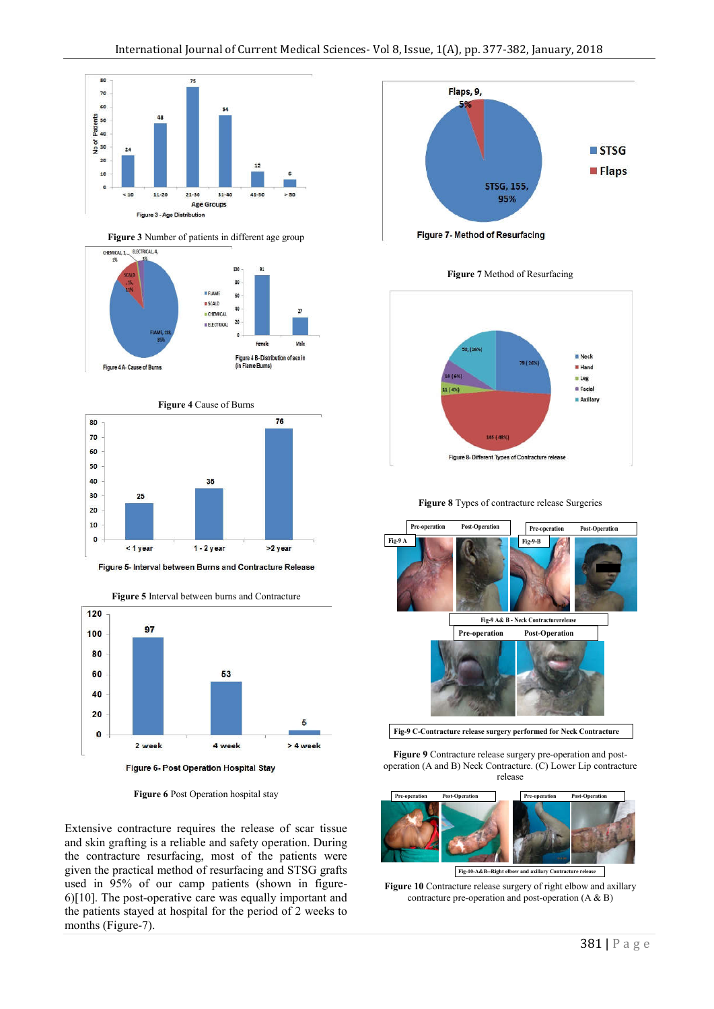

**Figure 3** Number of patients in different age group





Figure 5- Interval between Burns and Contracture Release



**Figure 6** Post Operation hospital stay

Extensive contracture requires the release of scar tissue and skin grafting is a reliable and safety operation. During the contracture resurfacing, most of the patients were given the practical method of resurfacing and STSG grafts used in 95% of our camp patients (shown in figure-6)[10]. The post-operative care was equally important and the patients stayed at hospital for the period of 2 weeks to months (Figure-7).



Figure 7- Method of Resurfacing

**Figure 7** Method of Resurfacing



**Figure 8** Types of contracture release Surgeries



**Figure 9** Contracture release surgery pre-operation and postoperation (A and B) Neck Contracture. (C) Lower Lip contracture release



**Fig-10-A&B--Right elbow and axillary Contracture release** 

**Figure 10** Contracture release surgery of right elbow and axillary contracture pre-operation and post-operation (A & B)